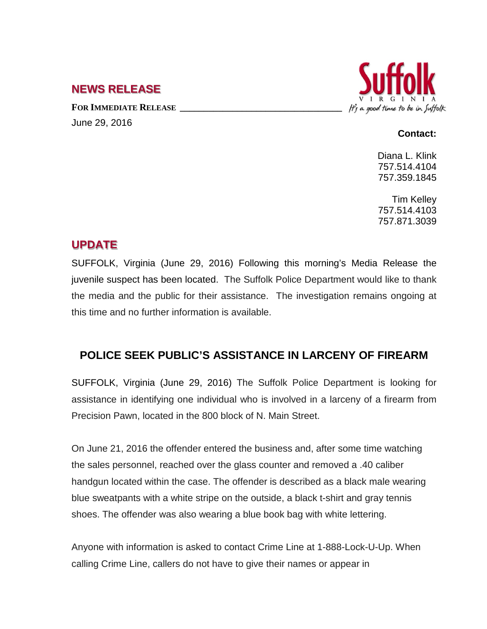## **NEWS RELEASE**

FOR **IMMEDIATE RELEASE** June 29, 2016



## **Contact:**

Diana L. Klink 757.514.4104 757.359.1845

Tim Kelley 757.514.4103 757.871.3039

## **UPDATE**

SUFFOLK, Virginia (June 29, 2016) Following this morning's Media Release the juvenile suspect has been located. The Suffolk Police Department would like to thank the media and the public for their assistance. The investigation remains ongoing at this time and no further information is available.

## **POLICE SEEK PUBLIC'S ASSISTANCE IN LARCENY OF FIREARM**

SUFFOLK, Virginia (June 29, 2016) The Suffolk Police Department is looking for assistance in identifying one individual who is involved in a larceny of a firearm from Precision Pawn, located in the 800 block of N. Main Street.

On June 21, 2016 the offender entered the business and, after some time watching the sales personnel, reached over the glass counter and removed a .40 caliber handgun located within the case. The offender is described as a black male wearing blue sweatpants with a white stripe on the outside, a black t-shirt and gray tennis shoes. The offender was also wearing a blue book bag with white lettering.

Anyone with information is asked to contact Crime Line at 1-888-Lock-U-Up. When calling Crime Line, callers do not have to give their names or appear in